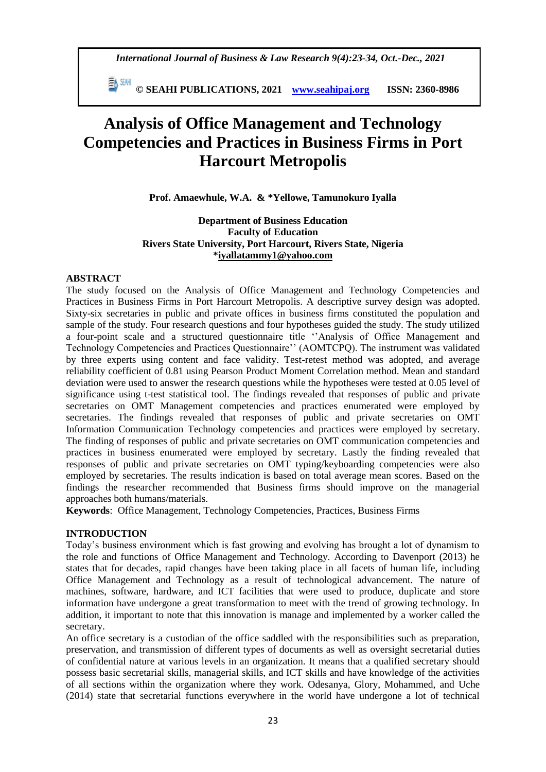*International Journal of Business & Law Research 9(4):23-34, Oct.-Dec., 2021*

 **© SEAHI PUBLICATIONS, 2021 [www.seahipaj.org](http://www.seahipaj.org/) ISSN: 2360-8986**

# **Analysis of Office Management and Technology Competencies and Practices in Business Firms in Port Harcourt Metropolis**

**Prof. Amaewhule, W.A. & \*Yellowe, Tamunokuro Iyalla**

# **Department of Business Education Faculty of Education Rivers State University, Port Harcourt, Rivers State, Nigeria [\\*iyallatammy1@yahoo.com](mailto:iyallatammy1@yahoo.com)**

# **ABSTRACT**

The study focused on the Analysis of Office Management and Technology Competencies and Practices in Business Firms in Port Harcourt Metropolis. A descriptive survey design was adopted. Sixty-six secretaries in public and private offices in business firms constituted the population and sample of the study. Four research questions and four hypotheses guided the study. The study utilized a four-point scale and a structured questionnaire title ''Analysis of Office Management and Technology Competencies and Practices Questionnaire'' (AOMTCPQ). The instrument was validated by three experts using content and face validity. Test-retest method was adopted, and average reliability coefficient of 0.81 using Pearson Product Moment Correlation method. Mean and standard deviation were used to answer the research questions while the hypotheses were tested at 0.05 level of significance using t-test statistical tool. The findings revealed that responses of public and private secretaries on OMT Management competencies and practices enumerated were employed by secretaries. The findings revealed that responses of public and private secretaries on OMT Information Communication Technology competencies and practices were employed by secretary. The finding of responses of public and private secretaries on OMT communication competencies and practices in business enumerated were employed by secretary. Lastly the finding revealed that responses of public and private secretaries on OMT typing/keyboarding competencies were also employed by secretaries. The results indication is based on total average mean scores. Based on the findings the researcher recommended that Business firms should improve on the managerial approaches both humans/materials.

**Keywords**: Office Management, Technology Competencies, Practices, Business Firms

# **INTRODUCTION**

Today's business environment which is fast growing and evolving has brought a lot of dynamism to the role and functions of Office Management and Technology. According to Davenport (2013) he states that for decades, rapid changes have been taking place in all facets of human life, including Office Management and Technology as a result of technological advancement. The nature of machines, software, hardware, and ICT facilities that were used to produce, duplicate and store information have undergone a great transformation to meet with the trend of growing technology. In addition, it important to note that this innovation is manage and implemented by a worker called the secretary.

An office secretary is a custodian of the office saddled with the responsibilities such as preparation, preservation, and transmission of different types of documents as well as oversight secretarial duties of confidential nature at various levels in an organization. It means that a qualified secretary should possess basic secretarial skills, managerial skills, and ICT skills and have knowledge of the activities of all sections within the organization where they work. Odesanya, Glory, Mohammed, and Uche (2014) state that secretarial functions everywhere in the world have undergone a lot of technical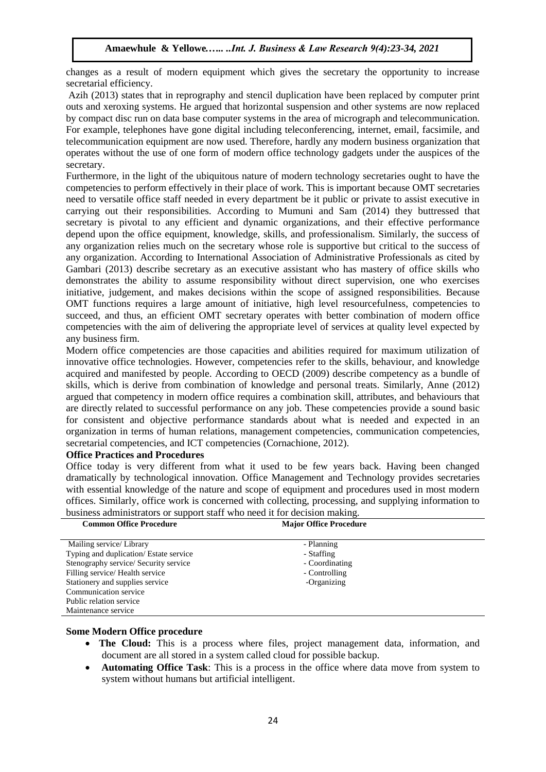changes as a result of modern equipment which gives the secretary the opportunity to increase secretarial efficiency.

Azih (2013) states that in reprography and stencil duplication have been replaced by computer print outs and xeroxing systems. He argued that horizontal suspension and other systems are now replaced by compact disc run on data base computer systems in the area of micrograph and telecommunication. For example, telephones have gone digital including teleconferencing, internet, email, facsimile, and telecommunication equipment are now used. Therefore, hardly any modern business organization that operates without the use of one form of modern office technology gadgets under the auspices of the secretary.

Furthermore, in the light of the ubiquitous nature of modern technology secretaries ought to have the competencies to perform effectively in their place of work. This is important because OMT secretaries need to versatile office staff needed in every department be it public or private to assist executive in carrying out their responsibilities. According to Mumuni and Sam (2014) they buttressed that secretary is pivotal to any efficient and dynamic organizations, and their effective performance depend upon the office equipment, knowledge, skills, and professionalism. Similarly, the success of any organization relies much on the secretary whose role is supportive but critical to the success of any organization. According to International Association of Administrative Professionals as cited by Gambari (2013) describe secretary as an executive assistant who has mastery of office skills who demonstrates the ability to assume responsibility without direct supervision, one who exercises initiative, judgement, and makes decisions within the scope of assigned responsibilities. Because OMT functions requires a large amount of initiative, high level resourcefulness, competencies to succeed, and thus, an efficient OMT secretary operates with better combination of modern office competencies with the aim of delivering the appropriate level of services at quality level expected by any business firm.

Modern office competencies are those capacities and abilities required for maximum utilization of innovative office technologies. However, competencies refer to the skills, behaviour, and knowledge acquired and manifested by people. According to OECD (2009) describe competency as a bundle of skills, which is derive from combination of knowledge and personal treats. Similarly, Anne (2012) argued that competency in modern office requires a combination skill, attributes, and behaviours that are directly related to successful performance on any job. These competencies provide a sound basic for consistent and objective performance standards about what is needed and expected in an organization in terms of human relations, management competencies, communication competencies, secretarial competencies, and ICT competencies (Cornachione, 2012).

### **Office Practices and Procedures**

Office today is very different from what it used to be few years back. Having been changed dramatically by technological innovation. Office Management and Technology provides secretaries with essential knowledge of the nature and scope of equipment and procedures used in most modern offices. Similarly, office work is concerned with collecting, processing, and supplying information to business administrators or support staff who need it for decision making.

|                                        | ັ                             |  |
|----------------------------------------|-------------------------------|--|
| <b>Common Office Procedure</b>         | <b>Major Office Procedure</b> |  |
| Mailing service/ Library               | - Planning                    |  |
| Typing and duplication/ Estate service | - Staffing                    |  |
| Stenography service/ Security service  | - Coordinating                |  |
| Filling service/ Health service        | - Controlling                 |  |
| Stationery and supplies service        | -Organizing                   |  |
| Communication service                  |                               |  |
| Public relation service                |                               |  |
| Maintenance service                    |                               |  |

# **Some Modern Office procedure**

- **The Cloud:** This is a process where files, project management data, information, and document are all stored in a system called cloud for possible backup.
- **Automating Office Task**: This is a process in the office where data move from system to system without humans but artificial intelligent.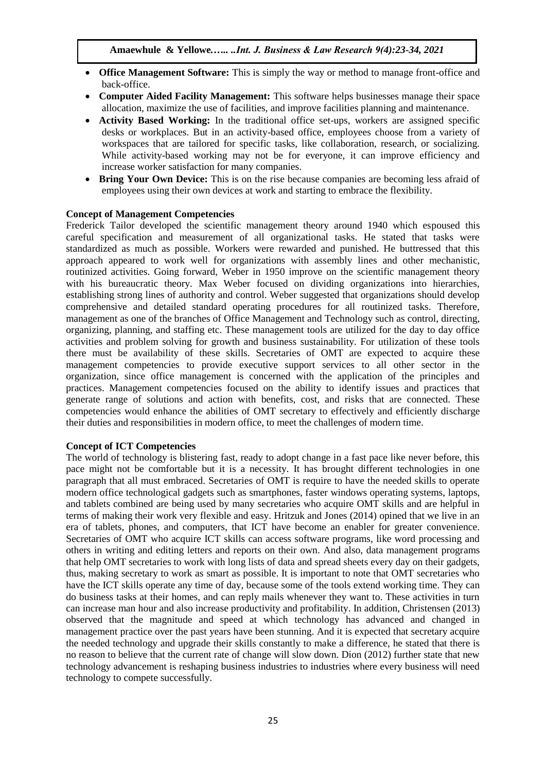- **Office Management Software:** This is simply the way or method to manage front-office and back-office.
- **Computer Aided Facility Management:** This software helps businesses manage their space allocation, maximize the use of facilities, and improve facilities planning and maintenance.
- **Activity Based Working:** In the traditional office set-ups, workers are assigned specific desks or workplaces. But in an activity-based office, employees choose from a variety of workspaces that are tailored for specific tasks, like collaboration, research, or socializing. While activity-based working may not be for everyone, it can improve efficiency and increase worker satisfaction for many companies.
- **Bring Your Own Device:** This is on the rise because companies are becoming less afraid of employees using their own devices at work and starting to embrace the flexibility.

# **Concept of Management Competencies**

Frederick Tailor developed the scientific management theory around 1940 which espoused this careful specification and measurement of all organizational tasks. He stated that tasks were standardized as much as possible. Workers were rewarded and punished. He buttressed that this approach appeared to work well for organizations with assembly lines and other mechanistic, routinized activities. Going forward, Weber in 1950 improve on the scientific management theory with his bureaucratic theory. Max Weber focused on dividing organizations into hierarchies, establishing strong lines of authority and control. Weber suggested that organizations should develop comprehensive and detailed standard operating procedures for all routinized tasks. Therefore, management as one of the branches of Office Management and Technology such as control, directing, organizing, planning, and staffing etc. These management tools are utilized for the day to day office activities and problem solving for growth and business sustainability. For utilization of these tools there must be availability of these skills. Secretaries of OMT are expected to acquire these management competencies to provide executive support services to all other sector in the organization, since office management is concerned with the application of the principles and practices. Management competencies focused on the ability to identify issues and practices that generate range of solutions and action with benefits, cost, and risks that are connected. These competencies would enhance the abilities of OMT secretary to effectively and efficiently discharge their duties and responsibilities in modern office, to meet the challenges of modern time.

## **Concept of ICT Competencies**

The world of technology is blistering fast, ready to adopt change in a fast pace like never before, this pace might not be comfortable but it is a necessity. It has brought different technologies in one paragraph that all must embraced. Secretaries of OMT is require to have the needed skills to operate modern office technological gadgets such as smartphones, faster windows operating systems, laptops, and tablets combined are being used by many secretaries who acquire OMT skills and are helpful in terms of making their work very flexible and easy. Hritzuk and Jones (2014) opined that we live in an era of tablets, phones, and computers, that ICT have become an enabler for greater convenience. Secretaries of OMT who acquire ICT skills can access software programs, like word processing and others in writing and editing letters and reports on their own. And also, data management programs that help OMT secretaries to work with long lists of data and spread sheets every day on their gadgets, thus, making secretary to work as smart as possible. It is important to note that OMT secretaries who have the ICT skills operate any time of day, because some of the tools extend working time. They can do business tasks at their homes, and can reply mails whenever they want to. These activities in turn can increase man hour and also increase productivity and profitability. In addition, Christensen (2013) observed that the magnitude and speed at which technology has advanced and changed in management practice over the past years have been stunning. And it is expected that secretary acquire the needed technology and upgrade their skills constantly to make a difference, he stated that there is no reason to believe that the current rate of change will slow down. Dion (2012) further state that new technology advancement is reshaping business industries to industries where every business will need technology to compete successfully.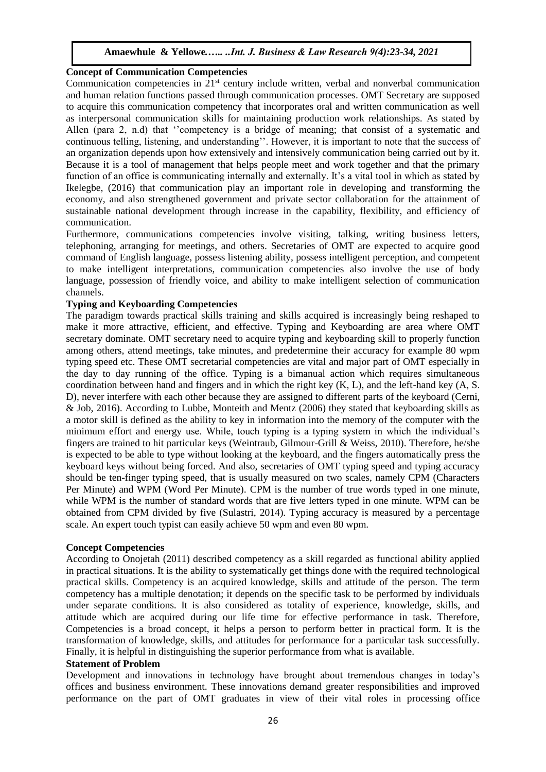## **Concept of Communication Competencies**

Communication competencies in 21<sup>st</sup> century include written, verbal and nonverbal communication and human relation functions passed through communication processes. OMT Secretary are supposed to acquire this communication competency that incorporates oral and written communication as well as interpersonal communication skills for maintaining production work relationships. As stated by Allen (para 2, n.d) that "competency is a bridge of meaning; that consist of a systematic and continuous telling, listening, and understanding''. However, it is important to note that the success of an organization depends upon how extensively and intensively communication being carried out by it. Because it is a tool of management that helps people meet and work together and that the primary function of an office is communicating internally and externally. It's a vital tool in which as stated by Ikelegbe, (2016) that communication play an important role in developing and transforming the economy, and also strengthened government and private sector collaboration for the attainment of sustainable national development through increase in the capability, flexibility, and efficiency of communication.

Furthermore, communications competencies involve visiting, talking, writing business letters, telephoning, arranging for meetings, and others. Secretaries of OMT are expected to acquire good command of English language, possess listening ability, possess intelligent perception, and competent to make intelligent interpretations, communication competencies also involve the use of body language, possession of friendly voice, and ability to make intelligent selection of communication channels.

# **Typing and Keyboarding Competencies**

The paradigm towards practical skills training and skills acquired is increasingly being reshaped to make it more attractive, efficient, and effective. Typing and Keyboarding are area where OMT secretary dominate. OMT secretary need to acquire typing and keyboarding skill to properly function among others, attend meetings, take minutes, and predetermine their accuracy for example 80 wpm typing speed etc. These OMT secretarial competencies are vital and major part of OMT especially in the day to day running of the office. Typing is a bimanual action which requires simultaneous coordination between hand and fingers and in which the right key  $(K, L)$ , and the left-hand key  $(A, S)$ . D), never interfere with each other because they are assigned to different parts of the keyboard (Cerni, & Job, 2016). According to Lubbe, Monteith and Mentz (2006) they stated that keyboarding skills as a motor skill is defined as the ability to key in information into the memory of the computer with the minimum effort and energy use. While, touch typing is a typing system in which the individual's fingers are trained to hit particular keys (Weintraub, Gilmour-Grill & Weiss, 2010). Therefore, he/she is expected to be able to type without looking at the keyboard, and the fingers automatically press the keyboard keys without being forced. And also, secretaries of OMT typing speed and typing accuracy should be ten-finger typing speed, that is usually measured on two scales, namely CPM (Characters Per Minute) and WPM (Word Per Minute). CPM is the number of true words typed in one minute, while WPM is the number of standard words that are five letters typed in one minute. WPM can be obtained from CPM divided by five (Sulastri, 2014). Typing accuracy is measured by a percentage scale. An expert touch typist can easily achieve 50 wpm and even 80 wpm.

# **Concept Competencies**

According to Onojetah (2011) described competency as a skill regarded as functional ability applied in practical situations. It is the ability to systematically get things done with the required technological practical skills. Competency is an acquired knowledge, skills and attitude of the person. The term competency has a multiple denotation; it depends on the specific task to be performed by individuals under separate conditions. It is also considered as totality of experience, knowledge, skills, and attitude which are acquired during our life time for effective performance in task. Therefore, Competencies is a broad concept, it helps a person to perform better in practical form. It is the transformation of knowledge, skills, and attitudes for performance for a particular task successfully. Finally, it is helpful in distinguishing the superior performance from what is available.

### **Statement of Problem**

Development and innovations in technology have brought about tremendous changes in today's offices and business environment. These innovations demand greater responsibilities and improved performance on the part of OMT graduates in view of their vital roles in processing office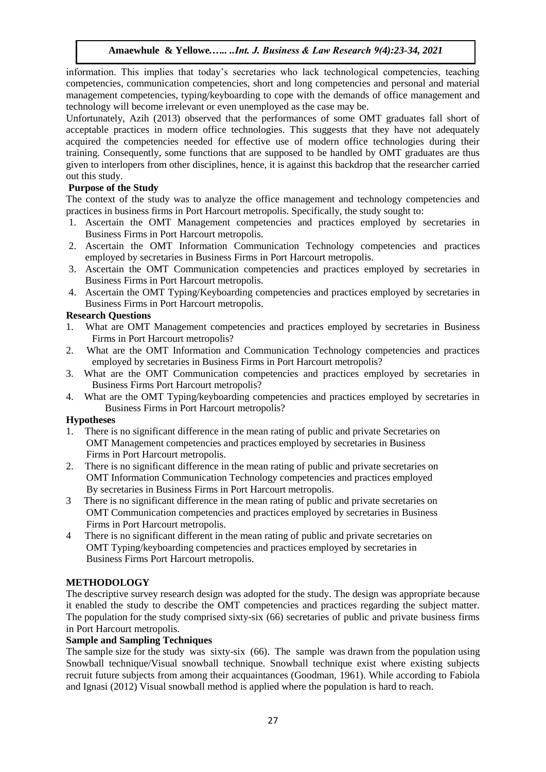information. This implies that today's secretaries who lack technological competencies, teaching competencies, communication competencies, short and long competencies and personal and material management competencies, typing/keyboarding to cope with the demands of office management and technology will become irrelevant or even unemployed as the case may be.

Unfortunately, Azih (2013) observed that the performances of some OMT graduates fall short of acceptable practices in modern office technologies. This suggests that they have not adequately acquired the competencies needed for effective use of modern office technologies during their training. Consequently, some functions that are supposed to be handled by OMT graduates are thus given to interlopers from other disciplines, hence, it is against this backdrop that the researcher carried out this study.

# **Purpose of the Study**

The context of the study was to analyze the office management and technology competencies and practices in business firms in Port Harcourt metropolis. Specifically, the study sought to:

- 1. Ascertain the OMT Management competencies and practices employed by secretaries in Business Firms in Port Harcourt metropolis.
- 2. Ascertain the OMT Information Communication Technology competencies and practices employed by secretaries in Business Firms in Port Harcourt metropolis.
- 3. Ascertain the OMT Communication competencies and practices employed by secretaries in Business Firms in Port Harcourt metropolis.
- 4. Ascertain the OMT Typing/Keyboarding competencies and practices employed by secretaries in Business Firms in Port Harcourt metropolis.

# **Research Questions**

- 1. What are OMT Management competencies and practices employed by secretaries in Business Firms in Port Harcourt metropolis?
- 2. What are the OMT Information and Communication Technology competencies and practices employed by secretaries in Business Firms in Port Harcourt metropolis?
- 3. What are the OMT Communication competencies and practices employed by secretaries in Business Firms Port Harcourt metropolis?
- 4. What are the OMT Typing/keyboarding competencies and practices employed by secretaries in Business Firms in Port Harcourt metropolis?

# **Hypotheses**

- 1. There is no significant difference in the mean rating of public and private Secretaries on OMT Management competencies and practices employed by secretaries in Business Firms in Port Harcourt metropolis.
- 2. There is no significant difference in the mean rating of public and private secretaries on OMT Information Communication Technology competencies and practices employed By secretaries in Business Firms in Port Harcourt metropolis.
- 3 There is no significant difference in the mean rating of public and private secretaries on OMT Communication competencies and practices employed by secretaries in Business Firms in Port Harcourt metropolis.
- 4 There is no significant different in the mean rating of public and private secretaries on OMT Typing/keyboarding competencies and practices employed by secretaries in Business Firms Port Harcourt metropolis.

# **METHODOLOGY**

The descriptive survey research design was adopted for the study. The design was appropriate because it enabled the study to describe the OMT competencies and practices regarding the subject matter. The population for the study comprised sixty-six (66) secretaries of public and private business firms in Port Harcourt metropolis.

# **Sample and Sampling Techniques**

The sample size for the study was sixty-six (66). The sample was drawn from the population using Snowball technique/Visual snowball technique. Snowball technique exist where existing subjects recruit future subjects from among their acquaintances (Goodman, 1961). While according to Fabiola and Ignasi (2012) Visual snowball method is applied where the population is hard to reach.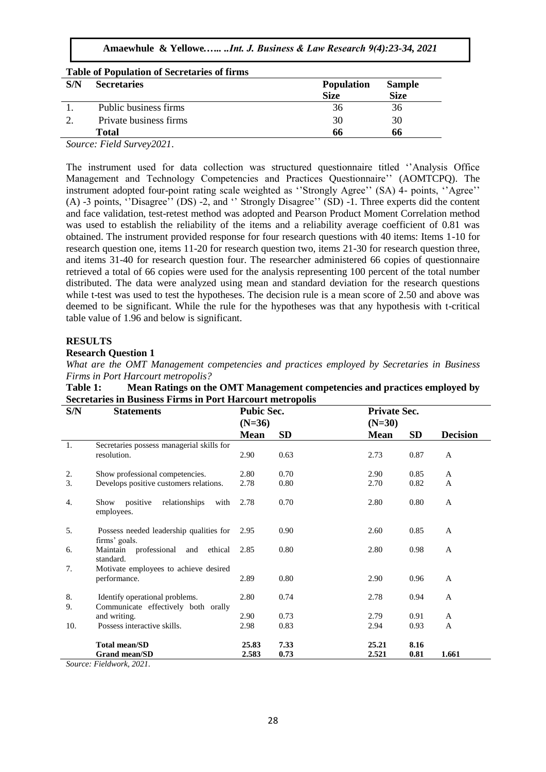| <b>Table of Population of Secretaries of firms</b> |                        |                                  |                              |  |  |  |  |  |
|----------------------------------------------------|------------------------|----------------------------------|------------------------------|--|--|--|--|--|
| S/N                                                | <b>Secretaries</b>     | <b>Population</b><br><b>Size</b> | <b>Sample</b><br><b>Size</b> |  |  |  |  |  |
|                                                    | Public business firms  | 36                               | 36                           |  |  |  |  |  |
|                                                    | Private business firms | 30                               | 30                           |  |  |  |  |  |
|                                                    | <b>Total</b>           | 66                               | 66                           |  |  |  |  |  |
|                                                    | _______<br>- - - -     |                                  |                              |  |  |  |  |  |

*Source: Field Survey2021*.

The instrument used for data collection was structured questionnaire titled ''Analysis Office Management and Technology Competencies and Practices Questionnaire'' (AOMTCPQ). The instrument adopted four-point rating scale weighted as ''Strongly Agree'' (SA) 4- points, ''Agree'' (A) -3 points, ''Disagree'' (DS) -2, and '' Strongly Disagree'' (SD) -1. Three experts did the content and face validation, test-retest method was adopted and Pearson Product Moment Correlation method was used to establish the reliability of the items and a reliability average coefficient of 0.81 was obtained. The instrument provided response for four research questions with 40 items: Items 1-10 for research question one, items 11-20 for research question two, items 21-30 for research question three, and items 31-40 for research question four. The researcher administered 66 copies of questionnaire retrieved a total of 66 copies were used for the analysis representing 100 percent of the total number distributed. The data were analyzed using mean and standard deviation for the research questions while t-test was used to test the hypotheses. The decision rule is a mean score of 2.50 and above was deemed to be significant. While the rule for the hypotheses was that any hypothesis with t-critical table value of 1.96 and below is significant.

# **RESULTS**

## **Research Question 1**

*What are the OMT Management competencies and practices employed by Secretaries in Business Firms in Port Harcourt metropolis?*

|          | Secretaries in Business Firms in Fort Harcourt metropolis |                   |           |                     |           |                 |  |  |  |  |
|----------|-----------------------------------------------------------|-------------------|-----------|---------------------|-----------|-----------------|--|--|--|--|
| S/N      | <b>Statements</b>                                         | <b>Pubic Sec.</b> |           | <b>Private Sec.</b> |           |                 |  |  |  |  |
|          |                                                           | $(N=36)$          |           | $(N=30)$            |           |                 |  |  |  |  |
|          |                                                           | <b>Mean</b>       | <b>SD</b> | <b>Mean</b>         | <b>SD</b> | <b>Decision</b> |  |  |  |  |
| 1.       | Secretaries possess managerial skills for                 |                   |           |                     |           |                 |  |  |  |  |
|          | resolution.                                               | 2.90              | 0.63      | 2.73                | 0.87      | A               |  |  |  |  |
| 2.       | Show professional competencies.                           | 2.80              | 0.70      | 2.90                | 0.85      | A               |  |  |  |  |
| 3.       | Develops positive customers relations.                    | 2.78              | 0.80      | 2.70                | 0.82      | A               |  |  |  |  |
| 4.       | positive<br>relationships<br>with<br>Show<br>employees.   | 2.78              | 0.70      | 2.80                | 0.80      | A               |  |  |  |  |
| 5.       | Possess needed leadership qualities for<br>firms' goals.  | 2.95              | 0.90      | 2.60                | 0.85      | A               |  |  |  |  |
| 6.       | Maintain professional and<br>ethical<br>standard.         | 2.85              | 0.80      | 2.80                | 0.98      | $\mathbf{A}$    |  |  |  |  |
| 7.       | Motivate employees to achieve desired                     |                   |           |                     |           |                 |  |  |  |  |
|          | performance.                                              | 2.89              | 0.80      | 2.90                | 0.96      | A               |  |  |  |  |
| 8.<br>9. | Identify operational problems.                            | 2.80              | 0.74      | 2.78                | 0.94      | A               |  |  |  |  |
|          | Communicate effectively both orally<br>and writing.       | 2.90              | 0.73      | 2.79                | 0.91      | A               |  |  |  |  |
| 10.      | Possess interactive skills.                               | 2.98              | 0.83      | 2.94                | 0.93      | $\mathbf{A}$    |  |  |  |  |
|          |                                                           |                   |           |                     |           |                 |  |  |  |  |
|          | <b>Total mean/SD</b>                                      | 25.83             | 7.33      | 25.21               | 8.16      |                 |  |  |  |  |
|          | Grand mean/SD                                             | 2.583             | 0.73      | 2.521               | 0.81      | 1.661           |  |  |  |  |
|          | $S_{\text{current}}$ $E: M_{\text{model}}$ 0001           |                   |           |                     |           |                 |  |  |  |  |

**Table 1: Mean Ratings on the OMT Management competencies and practices employed by Secretaries in Business Firms in Port Harcourt metropolis**

*Source: Fieldwork, 2021.*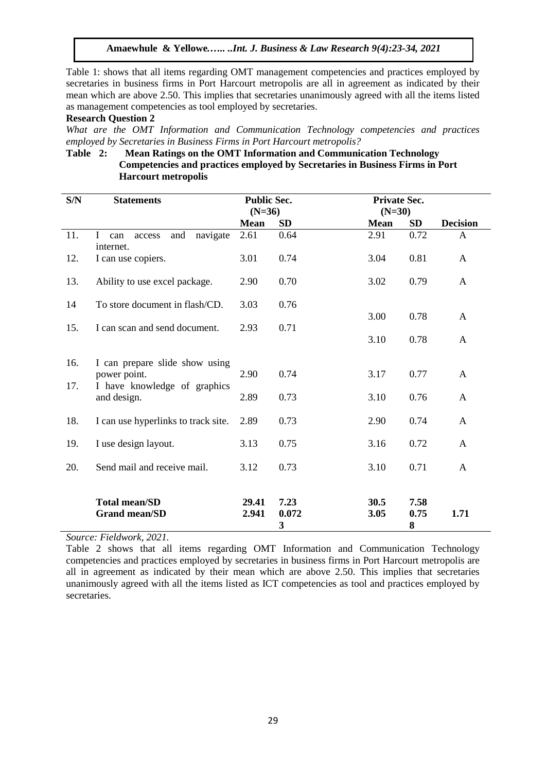Table 1: shows that all items regarding OMT management competencies and practices employed by secretaries in business firms in Port Harcourt metropolis are all in agreement as indicated by their mean which are above 2.50. This implies that secretaries unanimously agreed with all the items listed as management competencies as tool employed by secretaries.

## **Research Question 2**

*What are the OMT Information and Communication Technology competencies and practices employed by Secretaries in Business Firms in Port Harcourt metropolis?*

# **Table 2: Mean Ratings on the OMT Information and Communication Technology Competencies and practices employed by Secretaries in Business Firms in Port Harcourt metropolis**

| <b>Statements</b>                                  |                                                                                        |            | <b>Private Sec.</b>                    |                      |                                  |  |
|----------------------------------------------------|----------------------------------------------------------------------------------------|------------|----------------------------------------|----------------------|----------------------------------|--|
|                                                    |                                                                                        |            |                                        |                      |                                  |  |
|                                                    | <b>Mean</b>                                                                            | <b>SD</b>  | <b>Mean</b>                            | <b>SD</b>            | <b>Decision</b>                  |  |
| navigate<br>L<br>and<br>can<br>access<br>internet. | 2.61                                                                                   | 0.64       | 2.91                                   | 0.72                 | $\mathsf{A}$                     |  |
| I can use copiers.                                 | 3.01                                                                                   | 0.74       | 3.04                                   | 0.81                 | $\mathbf{A}$                     |  |
| Ability to use excel package.                      | 2.90                                                                                   | 0.70       | 3.02                                   | 0.79                 | $\mathbf{A}$                     |  |
| To store document in flash/CD.                     | 3.03                                                                                   | 0.76       |                                        |                      |                                  |  |
| I can scan and send document.                      | 2.93                                                                                   | 0.71       |                                        |                      | $\mathbf{A}$                     |  |
|                                                    |                                                                                        |            |                                        |                      | $\mathbf{A}$                     |  |
|                                                    |                                                                                        |            |                                        |                      |                                  |  |
| power point.                                       | 2.90                                                                                   | 0.74       | 3.17                                   | 0.77                 | $\mathbf{A}$                     |  |
| and design.                                        | 2.89                                                                                   | 0.73       | 3.10                                   | 0.76                 | $\mathbf{A}$                     |  |
| I can use hyperlinks to track site.                | 2.89                                                                                   | 0.73       | 2.90                                   | 0.74                 | $\overline{A}$                   |  |
| I use design layout.                               | 3.13                                                                                   | 0.75       | 3.16                                   | 0.72                 | A                                |  |
| Send mail and receive mail.                        | 3.12                                                                                   | 0.73       | 3.10                                   | 0.71                 | A                                |  |
|                                                    |                                                                                        |            |                                        |                      |                                  |  |
| <b>Grand mean/SD</b>                               | 2.941                                                                                  | 0.072<br>3 | 3.05                                   | 0.75<br>8            | 1.71                             |  |
|                                                    | I can prepare slide show using<br>I have knowledge of graphics<br><b>Total mean/SD</b> | 29.41      | <b>Public Sec.</b><br>$(N=36)$<br>7.23 | 3.00<br>3.10<br>30.5 | $(N=30)$<br>0.78<br>0.78<br>7.58 |  |

*Source: Fieldwork, 2021.*

Table 2 shows that all items regarding OMT Information and Communication Technology competencies and practices employed by secretaries in business firms in Port Harcourt metropolis are all in agreement as indicated by their mean which are above 2.50. This implies that secretaries unanimously agreed with all the items listed as ICT competencies as tool and practices employed by secretaries.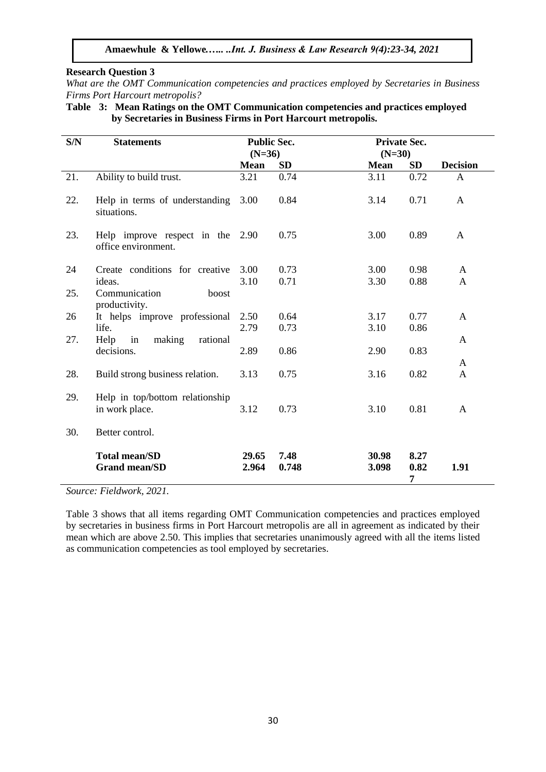## **Research Question 3**

*What are the OMT Communication competencies and practices employed by Secretaries in Business Firms Port Harcourt metropolis?*

**Table 3: Mean Ratings on the OMT Communication competencies and practices employed by Secretaries in Business Firms in Port Harcourt metropolis.** 

| S/N | <b>Statements</b>                                       | <b>Public Sec.</b><br>$(N=36)$ |               | <b>Private Sec.</b><br>$(N=30)$ |                   |                 |
|-----|---------------------------------------------------------|--------------------------------|---------------|---------------------------------|-------------------|-----------------|
|     |                                                         | <b>Mean</b>                    | <b>SD</b>     | <b>Mean</b>                     | <b>SD</b>         | <b>Decision</b> |
| 21. | Ability to build trust.                                 | 3.21                           | 0.74          | 3.11                            | 0.72              | A               |
| 22. | Help in terms of understanding<br>situations.           | 3.00                           | 0.84          | 3.14                            | 0.71              | $\mathbf{A}$    |
| 23. | Help improve respect in the 2.90<br>office environment. |                                | 0.75          | 3.00                            | 0.89              | A               |
| 24  | Create conditions for creative                          | 3.00                           | 0.73          | 3.00                            | 0.98              | A               |
|     | ideas.                                                  | 3.10                           | 0.71          | 3.30                            | 0.88              | A               |
| 25. | Communication<br>boost<br>productivity.                 |                                |               |                                 |                   |                 |
| 26  | It helps improve professional                           | 2.50                           | 0.64          | 3.17                            | 0.77              | A               |
|     | life.                                                   | 2.79                           | 0.73          | 3.10                            | 0.86              |                 |
| 27. | Help<br>in<br>making<br>rational<br>decisions.          | 2.89                           | 0.86          | 2.90                            | 0.83              | $\mathsf{A}$    |
|     |                                                         |                                |               |                                 |                   | A               |
| 28. | Build strong business relation.                         | 3.13                           | 0.75          | 3.16                            | 0.82              | A               |
| 29. | Help in top/bottom relationship<br>in work place.       | 3.12                           | 0.73          | 3.10                            | 0.81              | A               |
| 30. | Better control.                                         |                                |               |                                 |                   |                 |
|     | <b>Total mean/SD</b><br><b>Grand mean/SD</b>            | 29.65<br>2.964                 | 7.48<br>0.748 | 30.98<br>3.098                  | 8.27<br>0.82<br>7 | 1.91            |

*Source: Fieldwork, 2021.*

Table 3 shows that all items regarding OMT Communication competencies and practices employed by secretaries in business firms in Port Harcourt metropolis are all in agreement as indicated by their mean which are above 2.50. This implies that secretaries unanimously agreed with all the items listed as communication competencies as tool employed by secretaries.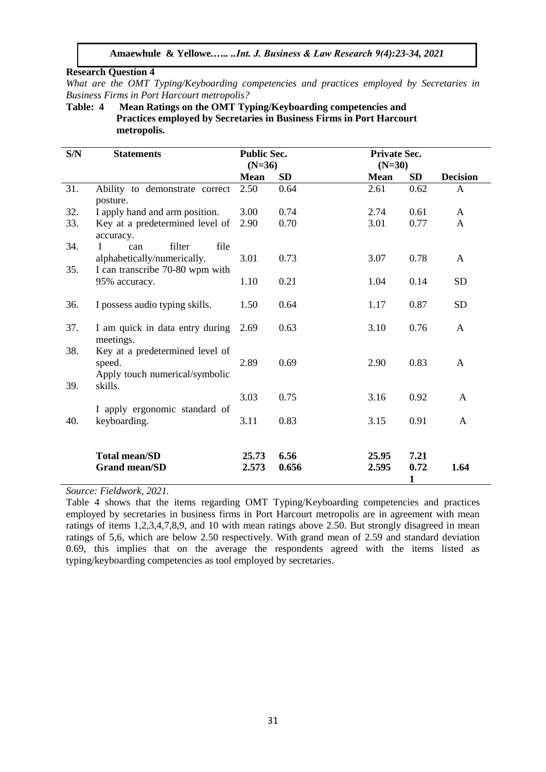#### **Research Question 4**

*What are the OMT Typing/Keyboarding competencies and practices employed by Secretaries in Business Firms in Port Harcourt metropolis?* 

**Table: 4 Mean Ratings on the OMT Typing/Keyboarding competencies and Practices employed by Secretaries in Business Firms in Port Harcourt metropolis.**

| S/N        | <b>Statements</b>                                                                            | <b>Public Sec.</b><br>$(N=36)$ |               | <b>Private Sec.</b><br>$(N=30)$ |                   |                 |
|------------|----------------------------------------------------------------------------------------------|--------------------------------|---------------|---------------------------------|-------------------|-----------------|
|            |                                                                                              | <b>Mean</b>                    | <b>SD</b>     | <b>Mean</b>                     | <b>SD</b>         | <b>Decision</b> |
| 31.        | Ability to demonstrate correct<br>posture.                                                   | 2.50                           | 0.64          | 2.61                            | 0.62              | A               |
| 32.        | I apply hand and arm position.                                                               | 3.00                           | 0.74          | 2.74                            | 0.61              | A               |
| 33.        | Key at a predetermined level of<br>accuracy.                                                 | 2.90                           | 0.70          | 3.01                            | 0.77              | A               |
| 34.<br>35. | file<br>filter<br>L<br>can<br>alphabetically/numerically.<br>I can transcribe 70-80 wpm with | 3.01                           | 0.73          | 3.07                            | 0.78              | A               |
|            | 95% accuracy.                                                                                | 1.10                           | 0.21          | 1.04                            | 0.14              | <b>SD</b>       |
| 36.        | I possess audio typing skills.                                                               | 1.50                           | 0.64          | 1.17                            | 0.87              | <b>SD</b>       |
| 37.        | I am quick in data entry during<br>meetings.                                                 | 2.69                           | 0.63          | 3.10                            | 0.76              | A               |
| 38.<br>39. | Key at a predetermined level of<br>speed.<br>Apply touch numerical/symbolic<br>skills.       | 2.89                           | 0.69          | 2.90                            | 0.83              | $\mathbf{A}$    |
|            | I apply ergonomic standard of                                                                | 3.03                           | 0.75          | 3.16                            | 0.92              | $\mathbf{A}$    |
| 40.        | keyboarding.                                                                                 |                                | 0.83          | 3.15                            | 0.91              | $\mathbf{A}$    |
|            | <b>Total mean/SD</b><br><b>Grand mean/SD</b>                                                 | 25.73<br>2.573                 | 6.56<br>0.656 | 25.95<br>2.595                  | 7.21<br>0.72<br>1 | 1.64            |

*Source: Fieldwork, 2021.*

Table 4 shows that the items regarding OMT Typing/Keyboarding competencies and practices employed by secretaries in business firms in Port Harcourt metropolis are in agreement with mean ratings of items 1,2,3,4,7,8,9, and 10 with mean ratings above 2.50. But strongly disagreed in mean ratings of 5,6, which are below 2.50 respectively. With grand mean of 2.59 and standard deviation 0.69, this implies that on the average the respondents agreed with the items listed as typing/keyboarding competencies as tool employed by secretaries.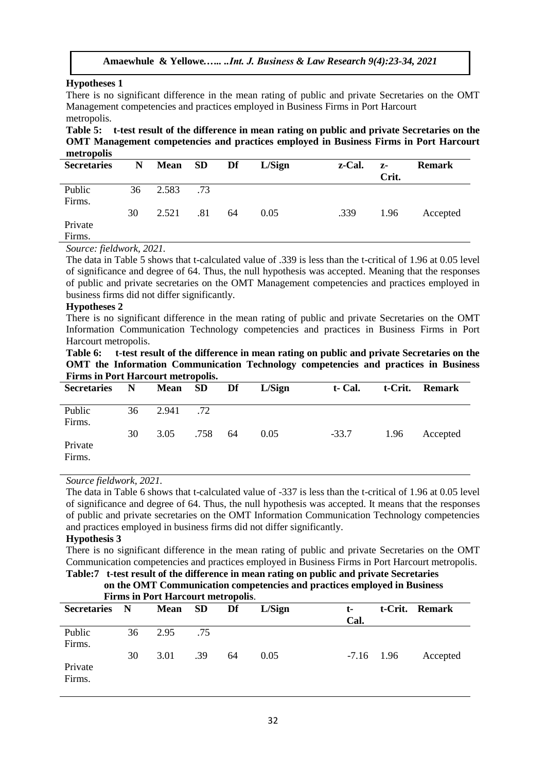## **Hypotheses 1**

There is no significant difference in the mean rating of public and private Secretaries on the OMT Management competencies and practices employed in Business Firms in Port Harcourt metropolis.

**Table 5: t-test result of the difference in mean rating on public and private Secretaries on the OMT Management competencies and practices employed in Business Firms in Port Harcourt metropolis**

| <b>Secretaries</b> | N  | Mean SD |     | Df | L/Sign | z-Cal. | $Z-$<br>Crit. | <b>Remark</b> |
|--------------------|----|---------|-----|----|--------|--------|---------------|---------------|
| Public<br>Firms.   | 36 | 2.583   | .73 |    |        |        |               |               |
|                    | 30 | 2.521   | .81 | 64 | 0.05   | .339   | 1.96          | Accepted      |
| Private<br>Firms.  |    |         |     |    |        |        |               |               |

*Source: fieldwork, 2021.*

The data in Table 5 shows that t-calculated value of .339 is less than the t-critical of 1.96 at 0.05 level of significance and degree of 64. Thus, the null hypothesis was accepted. Meaning that the responses of public and private secretaries on the OMT Management competencies and practices employed in business firms did not differ significantly.

## **Hypotheses 2**

There is no significant difference in the mean rating of public and private Secretaries on the OMT Information Communication Technology competencies and practices in Business Firms in Port Harcourt metropolis.

|                                           | Table 6: t-test result of the difference in mean rating on public and private Secretaries on the |  |  |  |
|-------------------------------------------|--------------------------------------------------------------------------------------------------|--|--|--|
|                                           | OMT the Information Communication Technology competencies and practices in Business              |  |  |  |
| <b>Firms in Port Harcourt metropolis.</b> |                                                                                                  |  |  |  |

| <b>Secretaries</b> | $\mathbf N$ | Mean SD |      | Df | L/Sign | t- Cal. |      | t-Crit. Remark |
|--------------------|-------------|---------|------|----|--------|---------|------|----------------|
| Public<br>Firms.   | 36          | 2.941   | .72  |    |        |         |      |                |
| Private<br>Firms.  | 30          | 3.05    | .758 | 64 | 0.05   | $-33.7$ | 1.96 | Accepted       |

## *Source fieldwork, 2021.*

The data in Table 6 shows that t-calculated value of -337 is less than the t-critical of 1.96 at 0.05 level of significance and degree of 64. Thus, the null hypothesis was accepted. It means that the responses of public and private secretaries on the OMT Information Communication Technology competencies and practices employed in business firms did not differ significantly.

## **Hypothesis 3**

There is no significant difference in the mean rating of public and private Secretaries on the OMT Communication competencies and practices employed in Business Firms in Port Harcourt metropolis. **Table:7 t-test result of the difference in mean rating on public and private Secretaries**

| <b>Table:</b> The result of the difference in mean rating on public and private secretaries |
|---------------------------------------------------------------------------------------------|
| on the OMT Communication competencies and practices employed in Business                    |
| <b>Firms in Port Harcourt metropolis.</b>                                                   |

|                   |    | THINS IN I OIT HAT COULT MITH OPONS. |     |    |        |              |                |
|-------------------|----|--------------------------------------|-----|----|--------|--------------|----------------|
| Secretaries N     |    | Mean SD                              |     | Df | L/Sign | t-           | t-Crit. Remark |
|                   |    |                                      |     |    |        | Cal.         |                |
| Public<br>Firms.  | 36 | 2.95                                 | .75 |    |        |              |                |
| Private<br>Firms. | 30 | 3.01                                 | .39 | 64 | 0.05   | $-7.16$ 1.96 | Accepted       |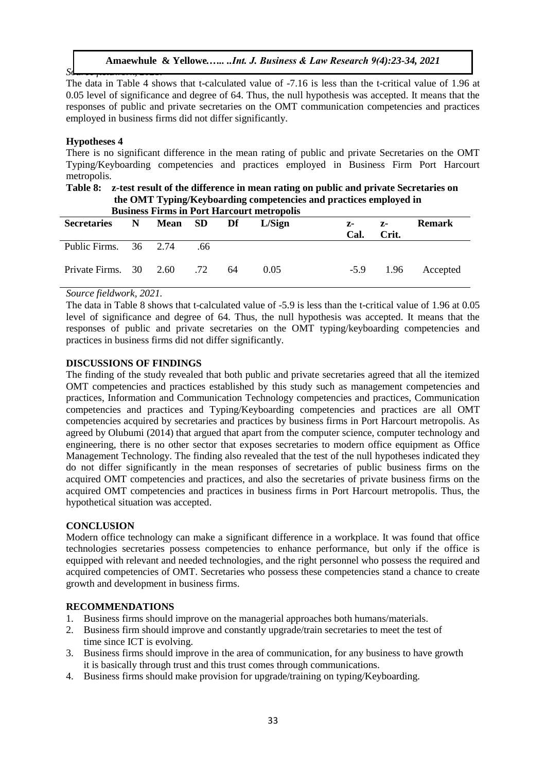*Source fieldwork, 2021.* The data in Table 4 shows that t-calculated value of -7.16 is less than the t-critical value of 1.96 at 0.05 level of significance and degree of 64. Thus, the null hypothesis was accepted. It means that the responses of public and private secretaries on the OMT communication competencies and practices employed in business firms did not differ significantly.

# **Hypotheses 4**

There is no significant difference in the mean rating of public and private Secretaries on the OMT Typing/Keyboarding competencies and practices employed in Business Firm Port Harcourt metropolis.<br>Table 8:

| таріе 8:              | z-test resuit of the difference in mean rating on public and private secretaries on<br>the OMT Typing/Keyboarding competencies and practices employed in<br><b>Business Firms in Port Harcourt metropolis</b> |           |      |    |        |            |               |               |  |  |
|-----------------------|---------------------------------------------------------------------------------------------------------------------------------------------------------------------------------------------------------------|-----------|------|----|--------|------------|---------------|---------------|--|--|
| <b>Secretaries</b>    |                                                                                                                                                                                                               | N Mean SD |      | Df | L/Sign | z-<br>Cal. | $Z-$<br>Crit. | <b>Remark</b> |  |  |
| Public Firms. 36 2.74 |                                                                                                                                                                                                               |           | .66. |    |        |            |               |               |  |  |

**Table 8: z-test result of the difference in mean rating on public and private Secretaries on** 

*Source fieldwork, 2021.*

Private Firms. 30

The data in Table 8 shows that t-calculated value of -5.9 is less than the t-critical value of 1.96 at 0.05 level of significance and degree of 64. Thus, the null hypothesis was accepted. It means that the responses of public and private secretaries on the OMT typing/keyboarding competencies and practices in business firms did not differ significantly.

.72 64 0.05 -5.9 1.96 Accepted

# **DISCUSSIONS OF FINDINGS**

2.60

The finding of the study revealed that both public and private secretaries agreed that all the itemized OMT competencies and practices established by this study such as management competencies and practices, Information and Communication Technology competencies and practices, Communication competencies and practices and Typing/Keyboarding competencies and practices are all OMT competencies acquired by secretaries and practices by business firms in Port Harcourt metropolis. As agreed by Olubumi (2014) that argued that apart from the computer science, computer technology and engineering, there is no other sector that exposes secretaries to modern office equipment as Office Management Technology. The finding also revealed that the test of the null hypotheses indicated they do not differ significantly in the mean responses of secretaries of public business firms on the acquired OMT competencies and practices, and also the secretaries of private business firms on the acquired OMT competencies and practices in business firms in Port Harcourt metropolis. Thus, the hypothetical situation was accepted.

# **CONCLUSION**

Modern office technology can make a significant difference in a workplace. It was found that office technologies secretaries possess competencies to enhance performance, but only if the office is equipped with relevant and needed technologies, and the right personnel who possess the required and acquired competencies of OMT. Secretaries who possess these competencies stand a chance to create growth and development in business firms.

# **RECOMMENDATIONS**

- 1. Business firms should improve on the managerial approaches both humans/materials.
- 2. Business firm should improve and constantly upgrade/train secretaries to meet the test of time since ICT is evolving.
- 3. Business firms should improve in the area of communication, for any business to have growth it is basically through trust and this trust comes through communications.
- 4. Business firms should make provision for upgrade/training on typing/Keyboarding.